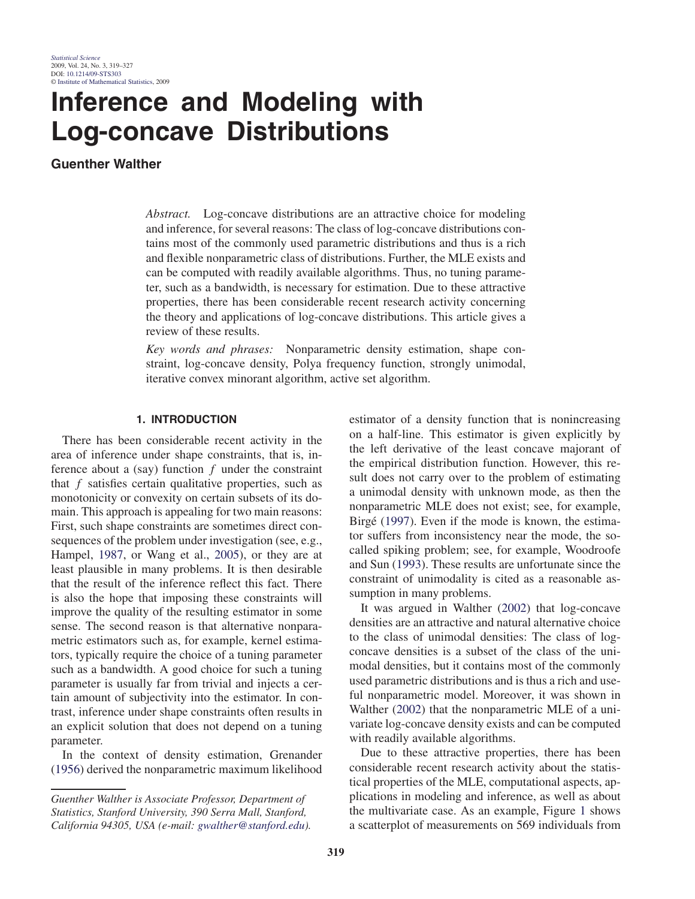# **Inference and Modeling with Log-concave Distributions**

**Guenther Walther**

*Abstract.* Log-concave distributions are an attractive choice for modeling and inference, for several reasons: The class of log-concave distributions contains most of the commonly used parametric distributions and thus is a rich and flexible nonparametric class of distributions. Further, the MLE exists and can be computed with readily available algorithms. Thus, no tuning parameter, such as a bandwidth, is necessary for estimation. Due to these attractive properties, there has been considerable recent research activity concerning the theory and applications of log-concave distributions. This article gives a review of these results.

*Key words and phrases:* Nonparametric density estimation, shape constraint, log-concave density, Polya frequency function, strongly unimodal, iterative convex minorant algorithm, active set algorithm.

## **1. INTRODUCTION**

There has been considerable recent activity in the area of inference under shape constraints, that is, inference about a (say) function  $f$  under the constraint that  $f$  satisfies certain qualitative properties, such as monotonicity or convexity on certain subsets of its domain. This approach is appealing for two main reasons: First, such shape constraints are sometimes direct consequences of the problem under investigation (see, e.g., Hampel, 1987, or Wang et al., 2005), or they are at least plausible in many problems. It is then desirable that the result of the inference reflect this fact. There is also the hope that imposing these constraints will improve the quality of the resulting estimator in some sense. The second reason is that alternative nonparametric estimators such as, for example, kernel estimators, typically require the choice of a tuning parameter such as a bandwidth. A good choice for such a tuning parameter is usually far from trivial and injects a certain amount of subjectivity into the estimator. In contrast, inference under shape constraints often results in an explicit solution that does not depend on a tuning parameter.

In the context of density estimation, Grenander (1956) derived the nonparametric maximum likelihood

estimator of a density function that is nonincreasing on a half-line. This estimator is given explicitly by the left derivative of the least concave majorant of the empirical distribution function. However, this result does not carry over to the problem of estimating a unimodal density with unknown mode, as then the nonparametric MLE does not exist; see, for example, Birgé (1997). Even if the mode is known, the estimator suffers from inconsistency near the mode, the socalled spiking problem; see, for example, Woodroofe and Sun (1993). These results are unfortunate since the constraint of unimodality is cited as a reasonable assumption in many problems.

It was argued in Walther (2002) that log-concave densities are an attractive and natural alternative choice to the class of unimodal densities: The class of logconcave densities is a subset of the class of the unimodal densities, but it contains most of the commonly used parametric distributions and is thus a rich and useful nonparametric model. Moreover, it was shown in Walther (2002) that the nonparametric MLE of a univariate log-concave density exists and can be computed with readily available algorithms.

Due to these attractive properties, there has been considerable recent research activity about the statistical properties of the MLE, computational aspects, applications in modeling and inference, as well as about the multivariate case. As an example, Figure 1 shows a scatterplot of measurements on 569 individuals from

*Guenther Walther is Associate Professor, Department of Statistics, Stanford University, 390 Serra Mall, Stanford, California 94305, USA (e-mail: gwalther@stanford.edu).*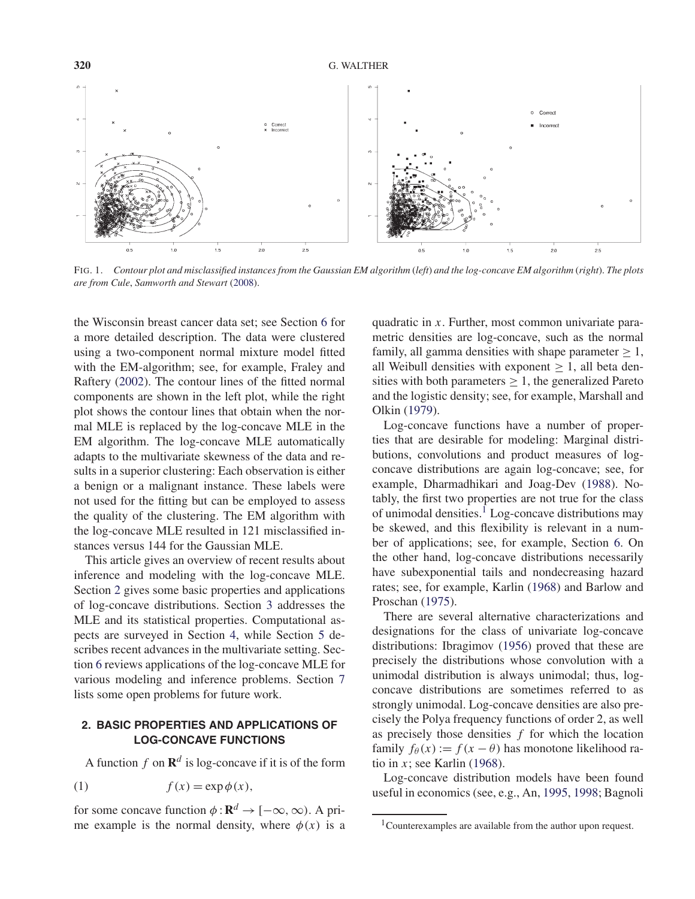

FIG. 1. *Contour plot and misclassified instances from the Gaussian EM algorithm* (*left*) *and the log-concave EM algorithm* (*right*). *The plots are from Cule*, *Samworth and Stewart* (2008).

the Wisconsin breast cancer data set; see Section 6 for a more detailed description. The data were clustered using a two-component normal mixture model fitted with the EM-algorithm; see, for example, Fraley and Raftery (2002). The contour lines of the fitted normal components are shown in the left plot, while the right plot shows the contour lines that obtain when the normal MLE is replaced by the log-concave MLE in the EM algorithm. The log-concave MLE automatically adapts to the multivariate skewness of the data and results in a superior clustering: Each observation is either a benign or a malignant instance. These labels were not used for the fitting but can be employed to assess the quality of the clustering. The EM algorithm with the log-concave MLE resulted in 121 misclassified instances versus 144 for the Gaussian MLE.

This article gives an overview of recent results about inference and modeling with the log-concave MLE. Section 2 gives some basic properties and applications of log-concave distributions. Section 3 addresses the MLE and its statistical properties. Computational aspects are surveyed in Section 4, while Section 5 describes recent advances in the multivariate setting. Section 6 reviews applications of the log-concave MLE for various modeling and inference problems. Section 7 lists some open problems for future work.

# **2. BASIC PROPERTIES AND APPLICATIONS OF LOG-CONCAVE FUNCTIONS**

A function f on  $\mathbb{R}^d$  is log-concave if it is of the form

(1) 
$$
f(x) = \exp \phi(x),
$$

for some concave function  $\phi : \mathbf{R}^d \to [-\infty, \infty)$ . A prime example is the normal density, where  $\phi(x)$  is a

quadratic in x. Further, most common univariate parametric densities are log-concave, such as the normal family, all gamma densities with shape parameter  $\geq 1$ , all Weibull densities with exponent  $\geq 1$ , all beta densities with both parameters  $\geq 1$ , the generalized Pareto and the logistic density; see, for example, Marshall and Olkin (1979).

Log-concave functions have a number of properties that are desirable for modeling: Marginal distributions, convolutions and product measures of logconcave distributions are again log-concave; see, for example, Dharmadhikari and Joag-Dev (1988). Notably, the first two properties are not true for the class of unimodal densities.<sup>1</sup> Log-concave distributions may be skewed, and this flexibility is relevant in a number of applications; see, for example, Section 6. On the other hand, log-concave distributions necessarily have subexponential tails and nondecreasing hazard rates; see, for example, Karlin (1968) and Barlow and Proschan (1975).

There are several alternative characterizations and designations for the class of univariate log-concave distributions: Ibragimov (1956) proved that these are precisely the distributions whose convolution with a unimodal distribution is always unimodal; thus, logconcave distributions are sometimes referred to as strongly unimodal. Log-concave densities are also precisely the Polya frequency functions of order 2, as well as precisely those densities  $f$  for which the location family  $f_{\theta}(x) := f(x - \theta)$  has monotone likelihood ratio in x; see Karlin (1968).

Log-concave distribution models have been found useful in economics (see, e.g., An, 1995, 1998; Bagnoli

<sup>&</sup>lt;sup>1</sup>Counterexamples are available from the author upon request.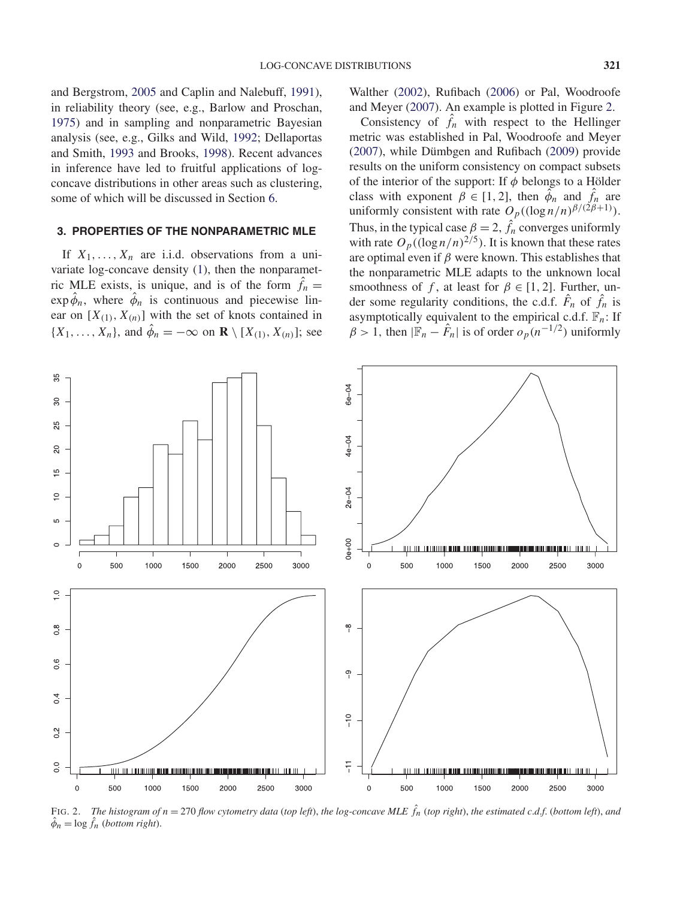and Bergstrom, 2005 and Caplin and Nalebuff, 1991), in reliability theory (see, e.g., Barlow and Proschan, 1975) and in sampling and nonparametric Bayesian analysis (see, e.g., Gilks and Wild, 1992; Dellaportas and Smith, 1993 and Brooks, 1998). Recent advances in inference have led to fruitful applications of logconcave distributions in other areas such as clustering, some of which will be discussed in Section 6.

## **3. PROPERTIES OF THE NONPARAMETRIC MLE**

If  $X_1, \ldots, X_n$  are i.i.d. observations from a univariate log-concave density (1), then the nonparametric MLE exists, is unique, and is of the form  $\hat{f}_n =$  $\exp \hat{\phi}_n$ , where  $\hat{\phi}_n$  is continuous and piecewise linear on  $[X_{(1)}, X_{(n)}]$  with the set of knots contained in  $\{X_1, \ldots, X_n\}$ , and  $\hat{\phi}_n = -\infty$  on  $\mathbf{R} \setminus [X_{(1)}, X_{(n)}]$ ; see

Walther (2002), Rufibach (2006) or Pal, Woodroofe and Meyer (2007). An example is plotted in Figure 2.

Consistency of  $\hat{f}_n$  with respect to the Hellinger metric was established in Pal, Woodroofe and Meyer (2007), while Dümbgen and Rufibach (2009) provide results on the uniform consistency on compact subsets of the interior of the support: If  $\phi$  belongs to a Hölder class with exponent  $\beta \in [1, 2]$ , then  $\widetilde{\phi}_n$  and  $\widehat{f}_n$  are uniformly consistent with rate  $O_p((\log n/n)^{\beta/(2\beta+1)}).$ Thus, in the typical case  $\beta = 2$ ,  $\hat{f}_n$  converges uniformly with rate  $O_p((\log n/n)^{2/5})$ . It is known that these rates are optimal even if  $\beta$  were known. This establishes that the nonparametric MLE adapts to the unknown local smoothness of f, at least for  $\beta \in [1, 2]$ . Further, under some regularity conditions, the c.d.f.  $\hat{F}_n$  of  $\hat{f}_n$  is asymptotically equivalent to the empirical c.d.f.  $\mathbb{F}_n$ : If  $\beta > 1$ , then  $|\mathbb{F}_n - \hat{F}_n|$  is of order  $o_p(n^{-1/2})$  uniformly



FIG. 2. The histogram of  $n = 270$  flow cytometry data (top left), the log-concave MLE  $\hat{f}_n$  (top right), the estimated c.d.f. (bottom left), and  $\hat{\phi}_n = \log \hat{f}_n$  (*bottom right*).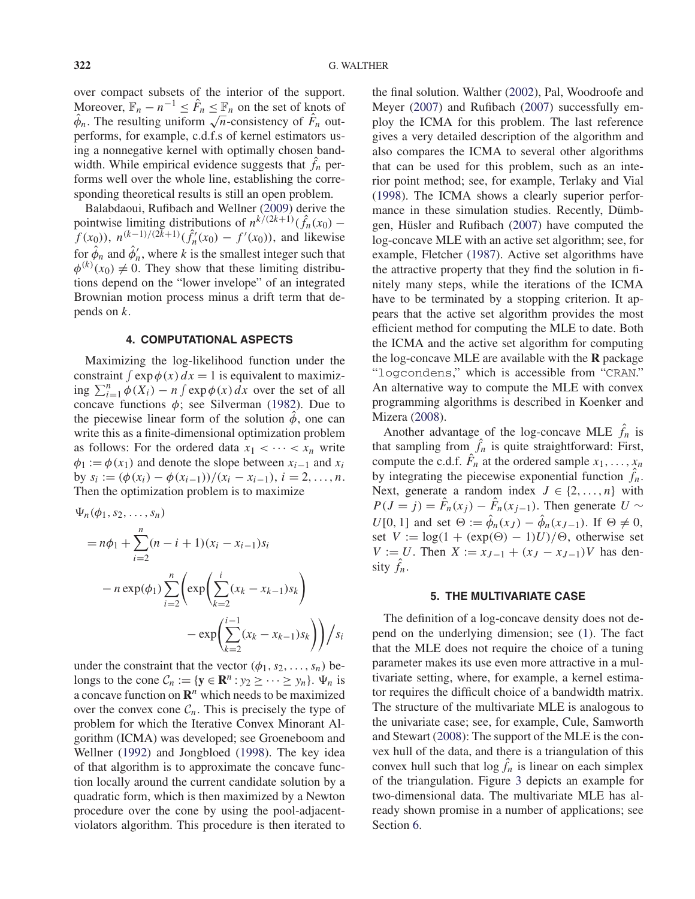over compact subsets of the interior of the support. Moreover,  $\mathbb{F}_n - n^{-1} \leq \hat{F}_n \leq \mathbb{F}_n$  on the set of knots of Moreover,  $\mathbb{F}_n - n \leq F_n \leq \mathbb{F}_n$  on the set of knots of  $\hat{\phi}_n$ . The resulting uniform  $\sqrt{n}$ -consistency of  $\hat{F}_n$  outperforms, for example, c.d.f.s of kernel estimators using a nonnegative kernel with optimally chosen bandwidth. While empirical evidence suggests that  $\hat{f}_n$  performs well over the whole line, establishing the corresponding theoretical results is still an open problem.

Balabdaoui, Rufibach and Wellner (2009) derive the pointwise limiting distributions of  $n^{k/(2k+1)}(\hat{f}_n(x_0)$  $f(x_0)$ ,  $n^{(k-1)/(2k+1)}(\hat{f}_n'(x_0) - f'(x_0))$ , and likewise for  $\hat{\phi}_n$  and  $\hat{\phi}'_n$ , where k is the smallest integer such that  $\phi^{(k)}(x_0) \neq 0$ . They show that these limiting distributions depend on the "lower invelope" of an integrated Brownian motion process minus a drift term that depends on  $k$ .

# **4. COMPUTATIONAL ASPECTS**

Maximizing the log-likelihood function under the constraint  $\int \exp \phi(x) dx = 1$  is equivalent to maximizing  $\sum_{i=1}^{n} \phi(X_i) - n \int \exp \phi(x) dx$  over the set of all concave functions  $\phi$ ; see Silverman (1982). Due to the piecewise linear form of the solution  $\phi$ , one can write this as a finite-dimensional optimization problem as follows: For the ordered data  $x_1 < \cdots < x_n$  write  $\phi_1 := \phi(x_1)$  and denote the slope between  $x_{i-1}$  and  $x_i$ by  $s_i := (\phi(x_i) - \phi(x_{i-1}))/(x_i - x_{i-1}), i = 2, ..., n$ . Then the optimization problem is to maximize

$$
\Psi_n(\phi_1, s_2, \dots, s_n)
$$
  
=  $n\phi_1 + \sum_{i=2}^n (n-i+1)(x_i - x_{i-1})s_i$   
 $- n \exp(\phi_1) \sum_{i=2}^n \left( \exp\left(\sum_{k=2}^i (x_k - x_{k-1})s_k\right) - \exp\left(\sum_{k=2}^{i-1} (x_k - x_{k-1})s_k\right) \right) / s_i$ 

under the constraint that the vector  $(\phi_1, s_2, \ldots, s_n)$  belongs to the cone  $C_n := \{ y \in \mathbb{R}^n : y_2 \geq \cdots \geq y_n \}.$   $\Psi_n$  is a concave function on  $\mathbb{R}^n$  which needs to be maximized over the convex cone  $C_n$ . This is precisely the type of problem for which the Iterative Convex Minorant Algorithm (ICMA) was developed; see Groeneboom and Wellner (1992) and Jongbloed (1998). The key idea of that algorithm is to approximate the concave function locally around the current candidate solution by a quadratic form, which is then maximized by a Newton procedure over the cone by using the pool-adjacentviolators algorithm. This procedure is then iterated to the final solution. Walther (2002), Pal, Woodroofe and Meyer (2007) and Rufibach (2007) successfully employ the ICMA for this problem. The last reference gives a very detailed description of the algorithm and also compares the ICMA to several other algorithms that can be used for this problem, such as an interior point method; see, for example, Terlaky and Vial (1998). The ICMA shows a clearly superior performance in these simulation studies. Recently, Dümbgen, Hüsler and Rufibach (2007) have computed the log-concave MLE with an active set algorithm; see, for example, Fletcher (1987). Active set algorithms have the attractive property that they find the solution in finitely many steps, while the iterations of the ICMA have to be terminated by a stopping criterion. It appears that the active set algorithm provides the most efficient method for computing the MLE to date. Both the ICMA and the active set algorithm for computing the log-concave MLE are available with the **R** package "logcondens," which is accessible from "CRAN." An alternative way to compute the MLE with convex programming algorithms is described in Koenker and Mizera (2008).

Another advantage of the log-concave MLE  $\hat{f}_n$  is that sampling from  $\hat{f}_n$  is quite straightforward: First, compute the c.d.f.  $\hat{F}_n$  at the ordered sample  $x_1, \ldots, x_n$ by integrating the piecewise exponential function  $\hat{f}_n$ . Next, generate a random index  $J \in \{2, ..., n\}$  with  $P(J = j) = \hat{F}_n(x_j) - \hat{F}_n(x_{j-1})$ . Then generate  $U \sim$  $U[0, 1]$  and set  $\Theta := \hat{\phi}_n(x_I) - \hat{\phi}_n(x_{I-1})$ . If  $\Theta \neq 0$ , set  $V := \log(1 + (\exp(\Theta) - 1)U)/\Theta$ , otherwise set  $V := U$ . Then  $X := x_{J-1} + (x_J - x_{J-1})V$  has density  $\hat{f}_n$ .

#### **5. THE MULTIVARIATE CASE**

The definition of a log-concave density does not depend on the underlying dimension; see (1). The fact that the MLE does not require the choice of a tuning parameter makes its use even more attractive in a multivariate setting, where, for example, a kernel estimator requires the difficult choice of a bandwidth matrix. The structure of the multivariate MLE is analogous to the univariate case; see, for example, Cule, Samworth and Stewart (2008): The support of the MLE is the convex hull of the data, and there is a triangulation of this convex hull such that  $\log \hat{f}_n$  is linear on each simplex of the triangulation. Figure 3 depicts an example for two-dimensional data. The multivariate MLE has already shown promise in a number of applications; see Section 6.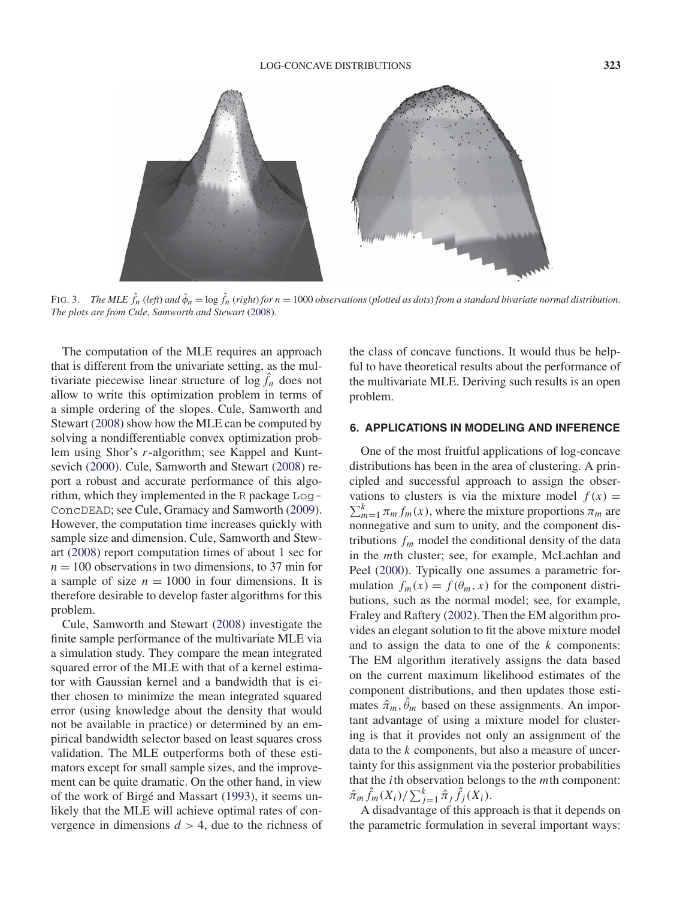

FIG. 3. *The MLE*  $\hat{f}_n$  *(left) and*  $\hat{\phi}_n = \log \hat{f}_n$  *(right) for*  $n = 1000$  *observations (plotted as dots) from a standard bivariate normal distribution. The plots are from Cule*, *Samworth and Stewart* (2008).

The computation of the MLE requires an approach that is different from the univariate setting, as the multivariate piecewise linear structure of  $\log \hat{f}_n$  does not allow to write this optimization problem in terms of a simple ordering of the slopes. Cule, Samworth and Stewart (2008) show how the MLE can be computed by solving a nondifferentiable convex optimization problem using Shor's r-algorithm; see Kappel and Kuntsevich (2000). Cule, Samworth and Stewart (2008) report a robust and accurate performance of this algorithm, which they implemented in the R package Log-ConcDEAD; see Cule, Gramacy and Samworth (2009). However, the computation time increases quickly with sample size and dimension. Cule, Samworth and Stewart (2008) report computation times of about 1 sec for  $n = 100$  observations in two dimensions, to 37 min for a sample of size  $n = 1000$  in four dimensions. It is therefore desirable to develop faster algorithms for this problem.

Cule, Samworth and Stewart (2008) investigate the finite sample performance of the multivariate MLE via a simulation study. They compare the mean integrated squared error of the MLE with that of a kernel estimator with Gaussian kernel and a bandwidth that is either chosen to minimize the mean integrated squared error (using knowledge about the density that would not be available in practice) or determined by an empirical bandwidth selector based on least squares cross validation. The MLE outperforms both of these estimators except for small sample sizes, and the improvement can be quite dramatic. On the other hand, in view of the work of Birgé and Massart (1993), it seems unlikely that the MLE will achieve optimal rates of convergence in dimensions  $d > 4$ , due to the richness of the class of concave functions. It would thus be helpful to have theoretical results about the performance of the multivariate MLE. Deriving such results is an open problem.

#### **6. APPLICATIONS IN MODELING AND INFERENCE**

One of the most fruitful applications of log-concave distributions has been in the area of clustering. A principled and successful approach to assign the observations to clusters is via the mixture model  $f(x) =$  $\sum_{m=1}^{k} \pi_m f_m(x)$ , where the mixture proportions  $\pi_m$  are nonnegative and sum to unity, and the component distributions  $f_m$  model the conditional density of the data in the mth cluster; see, for example, McLachlan and Peel (2000). Typically one assumes a parametric formulation  $f_m(x) = f(\theta_m, x)$  for the component distributions, such as the normal model; see, for example, Fraley and Raftery (2002). Then the EM algorithm provides an elegant solution to fit the above mixture model and to assign the data to one of the  $k$  components: The EM algorithm iteratively assigns the data based on the current maximum likelihood estimates of the component distributions, and then updates those estimates  $\hat{\pi}_m$ ,  $\hat{\theta}_m$  based on these assignments. An important advantage of using a mixture model for clustering is that it provides not only an assignment of the data to the  $k$  components, but also a measure of uncertainty for this assignment via the posterior probabilities that the *i*th observation belongs to the  $m$ th component:  $\hat{\pi}_m \hat{f}_m(X_i) / \sum_{j=1}^k \hat{\pi}_j \hat{f}_j(X_i)$ .

A disadvantage of this approach is that it depends on the parametric formulation in several important ways: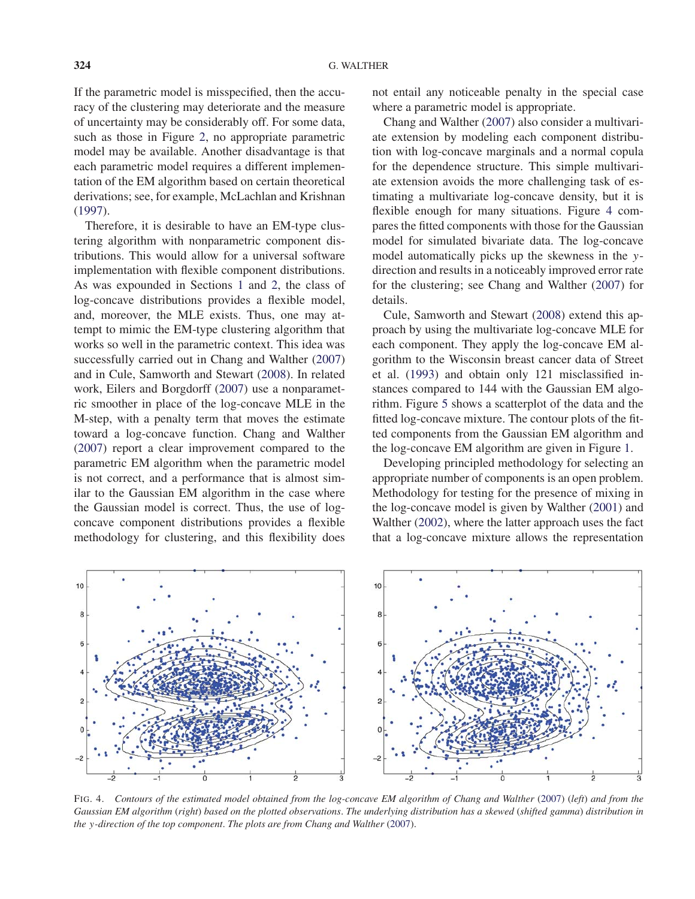If the parametric model is misspecified, then the accuracy of the clustering may deteriorate and the measure of uncertainty may be considerably off. For some data, such as those in Figure 2, no appropriate parametric model may be available. Another disadvantage is that each parametric model requires a different implementation of the EM algorithm based on certain theoretical derivations; see, for example, McLachlan and Krishnan (1997).

Therefore, it is desirable to have an EM-type clustering algorithm with nonparametric component distributions. This would allow for a universal software implementation with flexible component distributions. As was expounded in Sections 1 and 2, the class of log-concave distributions provides a flexible model, and, moreover, the MLE exists. Thus, one may attempt to mimic the EM-type clustering algorithm that works so well in the parametric context. This idea was successfully carried out in Chang and Walther (2007) and in Cule, Samworth and Stewart (2008). In related work, Eilers and Borgdorff (2007) use a nonparametric smoother in place of the log-concave MLE in the M-step, with a penalty term that moves the estimate toward a log-concave function. Chang and Walther (2007) report a clear improvement compared to the parametric EM algorithm when the parametric model is not correct, and a performance that is almost similar to the Gaussian EM algorithm in the case where the Gaussian model is correct. Thus, the use of logconcave component distributions provides a flexible methodology for clustering, and this flexibility does

not entail any noticeable penalty in the special case where a parametric model is appropriate.

Chang and Walther (2007) also consider a multivariate extension by modeling each component distribution with log-concave marginals and a normal copula for the dependence structure. This simple multivariate extension avoids the more challenging task of estimating a multivariate log-concave density, but it is flexible enough for many situations. Figure 4 compares the fitted components with those for the Gaussian model for simulated bivariate data. The log-concave model automatically picks up the skewness in the ydirection and results in a noticeably improved error rate for the clustering; see Chang and Walther (2007) for details.

Cule, Samworth and Stewart (2008) extend this approach by using the multivariate log-concave MLE for each component. They apply the log-concave EM algorithm to the Wisconsin breast cancer data of Street et al. (1993) and obtain only 121 misclassified instances compared to 144 with the Gaussian EM algorithm. Figure 5 shows a scatterplot of the data and the fitted log-concave mixture. The contour plots of the fitted components from the Gaussian EM algorithm and the log-concave EM algorithm are given in Figure 1.

Developing principled methodology for selecting an appropriate number of components is an open problem. Methodology for testing for the presence of mixing in the log-concave model is given by Walther (2001) and Walther (2002), where the latter approach uses the fact that a log-concave mixture allows the representation



FIG. 4. *Contours of the estimated model obtained from the log-concave EM algorithm of Chang and Walther* (2007) (*left*) *and from the Gaussian EM algorithm* (*right*) *based on the plotted observations*. *The underlying distribution has a skewed* (*shifted gamma*) *distribution in the* y*-direction of the top component*. *The plots are from Chang and Walther* (2007).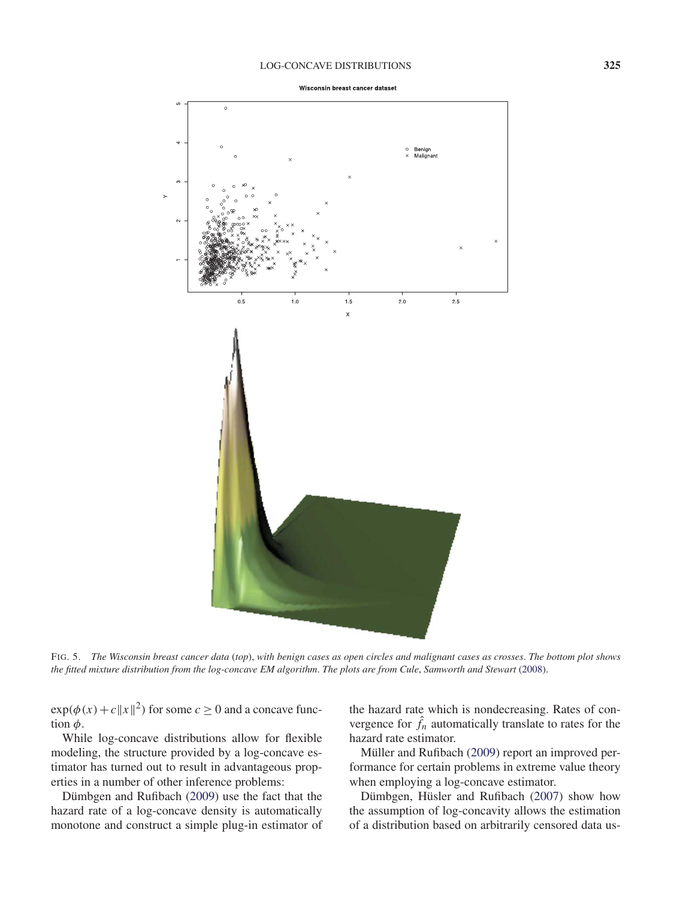#### LOG-CONCAVE DISTRIBUTIONS **325**



FIG. 5. *The Wisconsin breast cancer data* (*top*), *with benign cases as open circles and malignant cases as crosses*. *The bottom plot shows the fitted mixture distribution from the log-concave EM algorithm*. *The plots are from Cule*, *Samworth and Stewart* (2008).

 $\exp(\phi(x)+c||x||^2)$  for some  $c \ge 0$  and a concave function  $\phi$ .

While log-concave distributions allow for flexible modeling, the structure provided by a log-concave estimator has turned out to result in advantageous properties in a number of other inference problems:

Dümbgen and Rufibach (2009) use the fact that the hazard rate of a log-concave density is automatically monotone and construct a simple plug-in estimator of

the hazard rate which is nondecreasing. Rates of convergence for  $\hat{f}_n$  automatically translate to rates for the hazard rate estimator.

Müller and Rufibach (2009) report an improved performance for certain problems in extreme value theory when employing a log-concave estimator.

Dümbgen, Hüsler and Rufibach (2007) show how the assumption of log-concavity allows the estimation of a distribution based on arbitrarily censored data us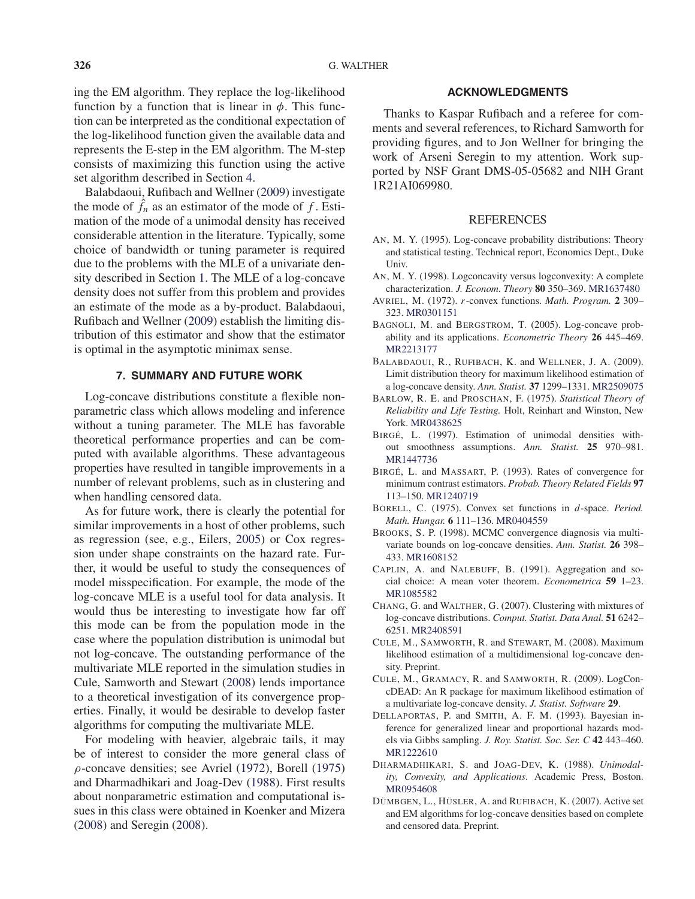ing the EM algorithm. They replace the log-likelihood function by a function that is linear in  $\phi$ . This function can be interpreted as the conditional expectation of the log-likelihood function given the available data and represents the E-step in the EM algorithm. The M-step consists of maximizing this function using the active set algorithm described in Section 4.

Balabdaoui, Rufibach and Wellner (2009) investigate the mode of  $\hat{f}_n$  as an estimator of the mode of f. Estimation of the mode of a unimodal density has received considerable attention in the literature. Typically, some choice of bandwidth or tuning parameter is required due to the problems with the MLE of a univariate density described in Section 1. The MLE of a log-concave density does not suffer from this problem and provides an estimate of the mode as a by-product. Balabdaoui, Rufibach and Wellner (2009) establish the limiting distribution of this estimator and show that the estimator is optimal in the asymptotic minimax sense.

# **7. SUMMARY AND FUTURE WORK**

Log-concave distributions constitute a flexible nonparametric class which allows modeling and inference without a tuning parameter. The MLE has favorable theoretical performance properties and can be computed with available algorithms. These advantageous properties have resulted in tangible improvements in a number of relevant problems, such as in clustering and when handling censored data.

As for future work, there is clearly the potential for similar improvements in a host of other problems, such as regression (see, e.g., Eilers, 2005) or Cox regression under shape constraints on the hazard rate. Further, it would be useful to study the consequences of model misspecification. For example, the mode of the log-concave MLE is a useful tool for data analysis. It would thus be interesting to investigate how far off this mode can be from the population mode in the case where the population distribution is unimodal but not log-concave. The outstanding performance of the multivariate MLE reported in the simulation studies in Cule, Samworth and Stewart (2008) lends importance to a theoretical investigation of its convergence properties. Finally, it would be desirable to develop faster algorithms for computing the multivariate MLE.

For modeling with heavier, algebraic tails, it may be of interest to consider the more general class of ρ-concave densities; see Avriel (1972), Borell (1975) and Dharmadhikari and Joag-Dev (1988). First results about nonparametric estimation and computational issues in this class were obtained in Koenker and Mizera (2008) and Seregin (2008).

# **ACKNOWLEDGMENTS**

Thanks to Kaspar Rufibach and a referee for comments and several references, to Richard Samworth for providing figures, and to Jon Wellner for bringing the work of Arseni Seregin to my attention. Work supported by NSF Grant DMS-05-05682 and NIH Grant 1R21AI069980.

#### REFERENCES

- AN, M. Y. (1995). Log-concave probability distributions: Theory and statistical testing. Technical report, Economics Dept., Duke Univ.
- AN, M. Y. (1998). Logconcavity versus logconvexity: A complete characterization. *J. Econom. Theory* **80** 350–369. MR1637480
- AVRIEL, M. (1972). r-convex functions. *Math. Program.* **2** 309– 323. MR0301151
- BAGNOLI, M. and BERGSTROM, T. (2005). Log-concave probability and its applications. *Econometric Theory* **26** 445–469. MR2213177
- BALABDAOUI, R., RUFIBACH, K. and WELLNER, J. A. (2009). Limit distribution theory for maximum likelihood estimation of a log-concave density. *Ann. Statist.* **37** 1299–1331. MR2509075
- BARLOW, R. E. and PROSCHAN, F. (1975). *Statistical Theory of Reliability and Life Testing.* Holt, Reinhart and Winston, New York. MR0438625
- BIRGÉ, L. (1997). Estimation of unimodal densities without smoothness assumptions. *Ann. Statist.* **25** 970–981. MR1447736
- BIRGÉ, L. and MASSART, P. (1993). Rates of convergence for minimum contrast estimators. *Probab. Theory Related Fields* **97** 113–150. MR1240719
- BORELL, C. (1975). Convex set functions in d-space. *Period. Math. Hungar.* **6** 111–136. MR0404559
- BROOKS, S. P. (1998). MCMC convergence diagnosis via multivariate bounds on log-concave densities. *Ann. Statist.* **26** 398– 433. MR1608152
- CAPLIN, A. and NALEBUFF, B. (1991). Aggregation and social choice: A mean voter theorem. *Econometrica* **59** 1–23. MR1085582
- CHANG, G. and WALTHER, G. (2007). Clustering with mixtures of log-concave distributions. *Comput. Statist. Data Anal.* **51** 6242– 6251. MR2408591
- CULE, M., SAMWORTH, R. and STEWART, M. (2008). Maximum likelihood estimation of a multidimensional log-concave density. Preprint.
- CULE, M., GRAMACY, R. and SAMWORTH, R. (2009). LogConcDEAD: An R package for maximum likelihood estimation of a multivariate log-concave density. *J. Statist. Software* **29**.
- DELLAPORTAS, P. and SMITH, A. F. M. (1993). Bayesian inference for generalized linear and proportional hazards models via Gibbs sampling. *J. Roy. Statist. Soc. Ser. C* **42** 443–460. MR1222610
- DHARMADHIKARI, S. and JOAG-DEV, K. (1988). *Unimodality, Convexity, and Applications*. Academic Press, Boston. MR0954608
- DÜMBGEN, L., HÜSLER, A. and RUFIBACH, K. (2007). Active set and EM algorithms for log-concave densities based on complete and censored data. Preprint.